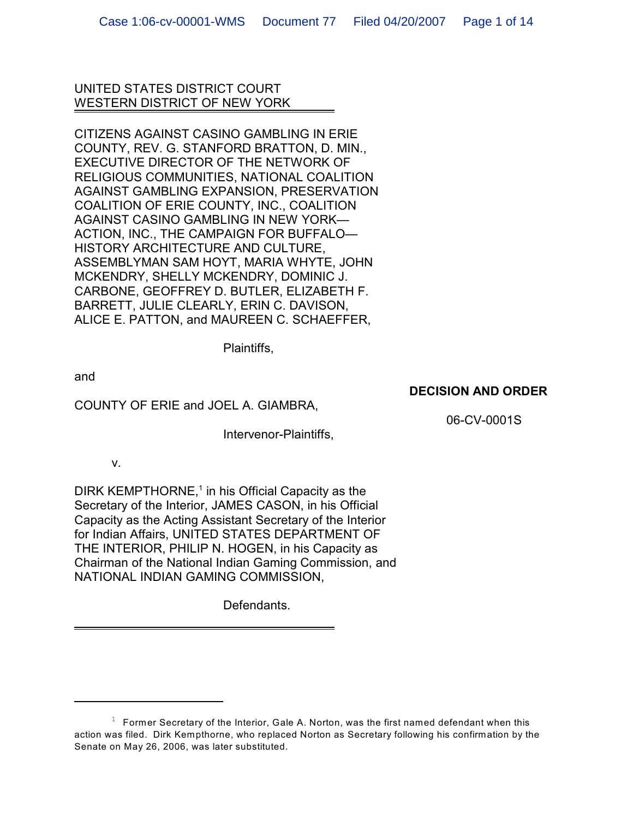UNITED STATES DISTRICT COURT WESTERN DISTRICT OF NEW YORK

CITIZENS AGAINST CASINO GAMBLING IN ERIE COUNTY, REV. G. STANFORD BRATTON, D. MIN., EXECUTIVE DIRECTOR OF THE NETWORK OF RELIGIOUS COMMUNITIES, NATIONAL COALITION AGAINST GAMBLING EXPANSION, PRESERVATION COALITION OF ERIE COUNTY, INC., COALITION AGAINST CASINO GAMBLING IN NEW YORK— ACTION, INC., THE CAMPAIGN FOR BUFFALO— HISTORY ARCHITECTURE AND CULTURE, ASSEMBLYMAN SAM HOYT, MARIA WHYTE, JOHN MCKENDRY, SHELLY MCKENDRY, DOMINIC J. CARBONE, GEOFFREY D. BUTLER, ELIZABETH F. BARRETT, JULIE CLEARLY, ERIN C. DAVISON, ALICE E. PATTON, and MAUREEN C. SCHAEFFER,

Plaintiffs,

and

# COUNTY OF ERIE and JOEL A. GIAMBRA,

Intervenor-Plaintiffs,

06-CV-0001S

**DECISION AND ORDER**

v.

DIRK KEMPTHORNE, $1$  in his Official Capacity as the Secretary of the Interior, JAMES CASON, in his Official Capacity as the Acting Assistant Secretary of the Interior for Indian Affairs, UNITED STATES DEPARTMENT OF THE INTERIOR, PHILIP N. HOGEN, in his Capacity as Chairman of the National Indian Gaming Commission, and NATIONAL INDIAN GAMING COMMISSION,

Defendants.

 $1$  Former Secretary of the Interior, Gale A. Norton, was the first named defendant when this action was filed. Dirk Kempthorne, who replaced Norton as Secretary following his confirmation by the Senate on May 26, 2006, was later substituted.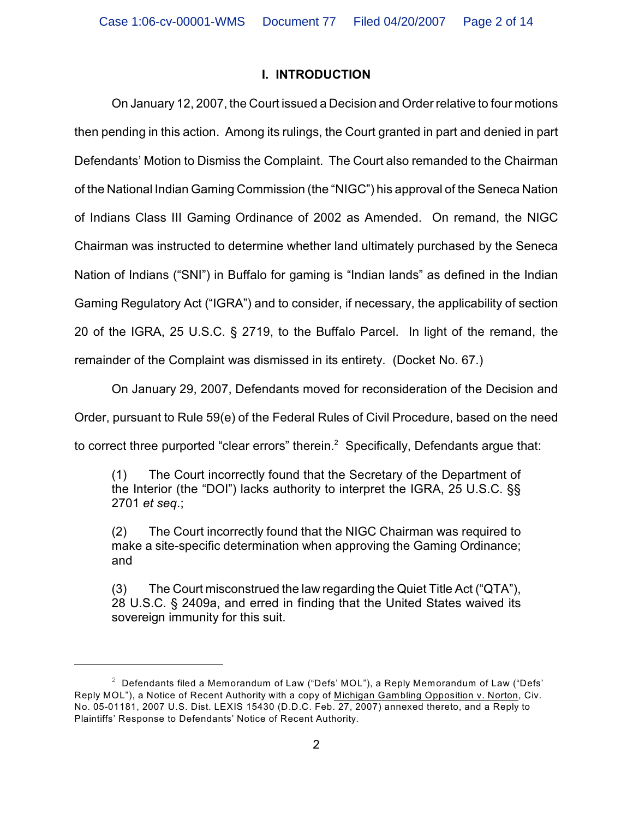# **I. INTRODUCTION**

On January 12, 2007, the Court issued a Decision and Order relative to four motions then pending in this action. Among its rulings, the Court granted in part and denied in part Defendants' Motion to Dismiss the Complaint. The Court also remanded to the Chairman of the National Indian Gaming Commission (the "NIGC") his approval of the Seneca Nation of Indians Class III Gaming Ordinance of 2002 as Amended. On remand, the NIGC Chairman was instructed to determine whether land ultimately purchased by the Seneca Nation of Indians ("SNI") in Buffalo for gaming is "Indian lands" as defined in the Indian Gaming Regulatory Act ("IGRA") and to consider, if necessary, the applicability of section 20 of the IGRA, 25 U.S.C. § 2719, to the Buffalo Parcel. In light of the remand, the remainder of the Complaint was dismissed in its entirety. (Docket No. 67.)

On January 29, 2007, Defendants moved for reconsideration of the Decision and

Order, pursuant to Rule 59(e) of the Federal Rules of Civil Procedure, based on the need

to correct three purported "clear errors" therein. $<sup>2</sup>$  Specifically, Defendants argue that:</sup>

(1) The Court incorrectly found that the Secretary of the Department of the Interior (the "DOI") lacks authority to interpret the IGRA, 25 U.S.C. §§ 2701 *et seq*.;

(2) The Court incorrectly found that the NIGC Chairman was required to make a site-specific determination when approving the Gaming Ordinance; and

(3) The Court misconstrued the law regarding the Quiet Title Act ("QTA"), 28 U.S.C. § 2409a, and erred in finding that the United States waived its sovereign immunity for this suit.

 $2$  Defendants filed a Memorandum of Law ("Defs' MOL"), a Reply Memorandum of Law ("Defs' Reply MOL"), a Notice of Recent Authority with a copy of Michigan Gambling Opposition v. Norton, Civ. No. 05-01181, 2007 U.S. Dist. LEXIS 15430 (D.D.C. Feb. 27, 2007) annexed thereto, and a Reply to Plaintiffs' Response to Defendants' Notice of Recent Authority.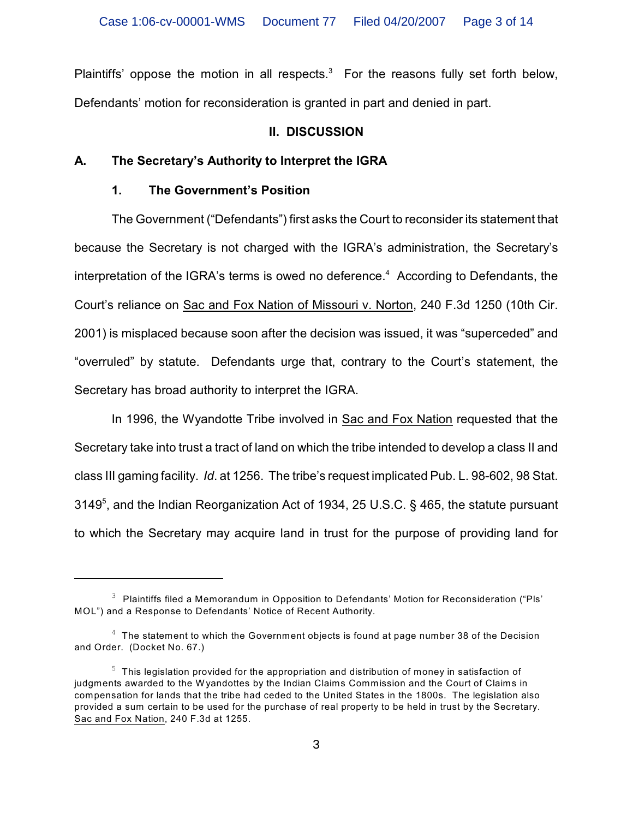Plaintiffs' oppose the motion in all respects.<sup>3</sup> For the reasons fully set forth below, Defendants' motion for reconsideration is granted in part and denied in part.

# **II. DISCUSSION**

# **A. The Secretary's Authority to Interpret the IGRA**

# **1. The Government's Position**

The Government ("Defendants") first asks the Court to reconsider its statement that because the Secretary is not charged with the IGRA's administration, the Secretary's interpretation of the IGRA's terms is owed no deference.<sup>4</sup> According to Defendants, the Court's reliance on Sac and Fox Nation of Missouri v. Norton, 240 F.3d 1250 (10th Cir. 2001) is misplaced because soon after the decision was issued, it was "superceded" and "overruled" by statute. Defendants urge that, contrary to the Court's statement, the Secretary has broad authority to interpret the IGRA.

In 1996, the Wyandotte Tribe involved in Sac and Fox Nation requested that the Secretary take into trust a tract of land on which the tribe intended to develop a class II and class III gaming facility. *Id*. at 1256. The tribe's request implicated Pub. L. 98-602, 98 Stat. 3149<sup>5</sup>, and the Indian Reorganization Act of 1934, 25 U.S.C. § 465, the statute pursuant to which the Secretary may acquire land in trust for the purpose of providing land for

 $3$  Plaintiffs filed a Memorandum in Opposition to Defendants' Motion for Reconsideration ("Pls' MOL") and a Response to Defendants' Notice of Recent Authority.

 $4\text{ }$  The statement to which the Government objects is found at page number 38 of the Decision and Order. (Docket No. 67.)

 $5$  This legislation provided for the appropriation and distribution of money in satisfaction of judgments awarded to the W yandottes by the Indian Claims Commission and the Court of Claims in compensation for lands that the tribe had ceded to the United States in the 1800s. The legislation also provided a sum certain to be used for the purchase of real property to be held in trust by the Secretary. Sac and Fox Nation, 240 F.3d at 1255.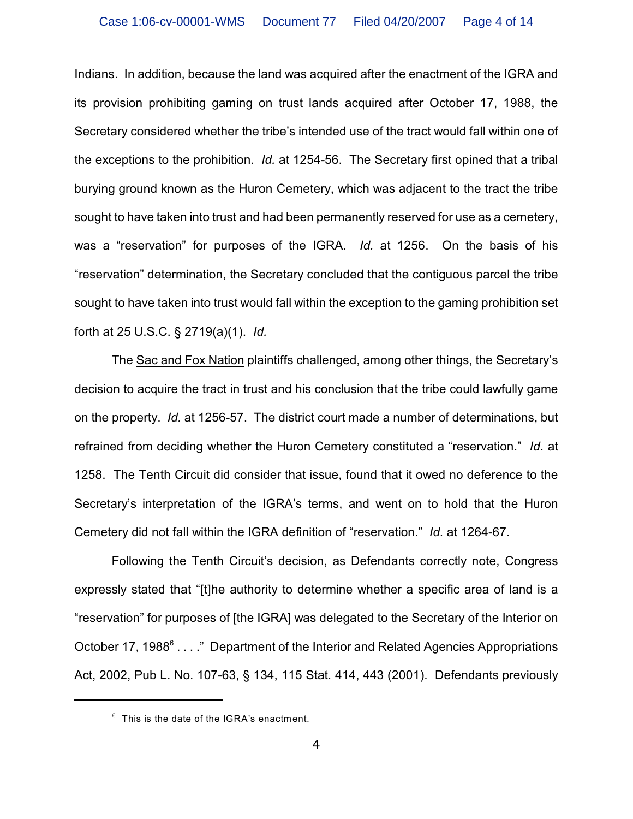Indians. In addition, because the land was acquired after the enactment of the IGRA and its provision prohibiting gaming on trust lands acquired after October 17, 1988, the Secretary considered whether the tribe's intended use of the tract would fall within one of the exceptions to the prohibition. *Id.* at 1254-56. The Secretary first opined that a tribal burying ground known as the Huron Cemetery, which was adjacent to the tract the tribe sought to have taken into trust and had been permanently reserved for use as a cemetery, was a "reservation" for purposes of the IGRA. *Id.* at 1256. On the basis of his "reservation" determination, the Secretary concluded that the contiguous parcel the tribe sought to have taken into trust would fall within the exception to the gaming prohibition set forth at 25 U.S.C. § 2719(a)(1). *Id.*

The Sac and Fox Nation plaintiffs challenged, among other things, the Secretary's decision to acquire the tract in trust and his conclusion that the tribe could lawfully game on the property. *Id.* at 1256-57. The district court made a number of determinations, but refrained from deciding whether the Huron Cemetery constituted a "reservation." *Id*. at 1258. The Tenth Circuit did consider that issue, found that it owed no deference to the Secretary's interpretation of the IGRA's terms, and went on to hold that the Huron Cemetery did not fall within the IGRA definition of "reservation." *Id*. at 1264-67.

Following the Tenth Circuit's decision, as Defendants correctly note, Congress expressly stated that "[t]he authority to determine whether a specific area of land is a "reservation" for purposes of [the IGRA] was delegated to the Secretary of the Interior on October 17, 1988 $^6$  . . . ." Department of the Interior and Related Agencies Appropriations Act, 2002, Pub L. No. 107-63, § 134, 115 Stat. 414, 443 (2001). Defendants previously

 $6$  This is the date of the IGRA's enactment.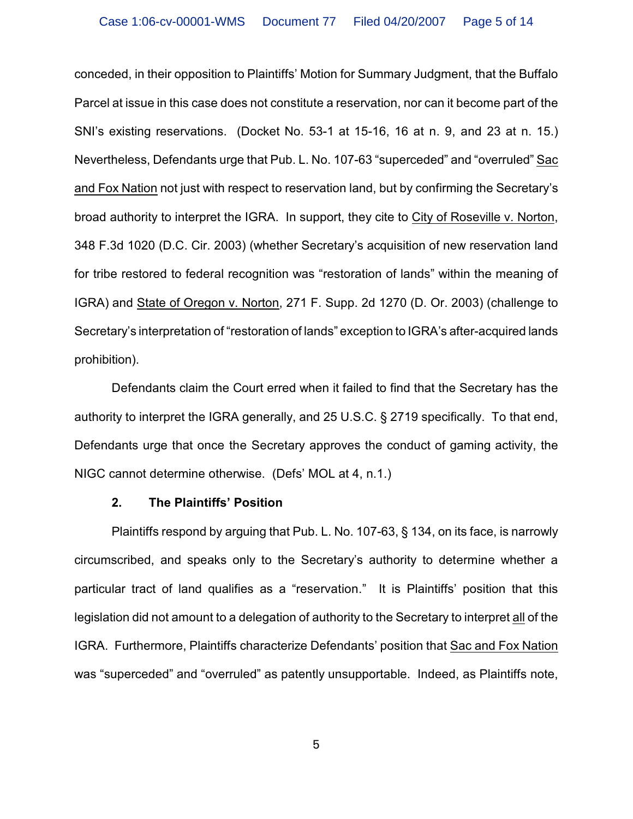conceded, in their opposition to Plaintiffs' Motion for Summary Judgment, that the Buffalo Parcel at issue in this case does not constitute a reservation, nor can it become part of the SNI's existing reservations. (Docket No. 53-1 at 15-16, 16 at n. 9, and 23 at n. 15.) Nevertheless, Defendants urge that Pub. L. No. 107-63 "superceded" and "overruled" Sac and Fox Nation not just with respect to reservation land, but by confirming the Secretary's broad authority to interpret the IGRA. In support, they cite to City of Roseville v. Norton, 348 F.3d 1020 (D.C. Cir. 2003) (whether Secretary's acquisition of new reservation land for tribe restored to federal recognition was "restoration of lands" within the meaning of IGRA) and State of Oregon v. Norton, 271 F. Supp. 2d 1270 (D. Or. 2003) (challenge to Secretary's interpretation of "restoration of lands" exception to IGRA's after-acquired lands prohibition).

Defendants claim the Court erred when it failed to find that the Secretary has the authority to interpret the IGRA generally, and 25 U.S.C. § 2719 specifically. To that end, Defendants urge that once the Secretary approves the conduct of gaming activity, the NIGC cannot determine otherwise. (Defs' MOL at 4, n.1.)

#### **2. The Plaintiffs' Position**

Plaintiffs respond by arguing that Pub. L. No. 107-63, § 134, on its face, is narrowly circumscribed, and speaks only to the Secretary's authority to determine whether a particular tract of land qualifies as a "reservation." It is Plaintiffs' position that this legislation did not amount to a delegation of authority to the Secretary to interpret all of the IGRA. Furthermore, Plaintiffs characterize Defendants' position that Sac and Fox Nation was "superceded" and "overruled" as patently unsupportable. Indeed, as Plaintiffs note,

5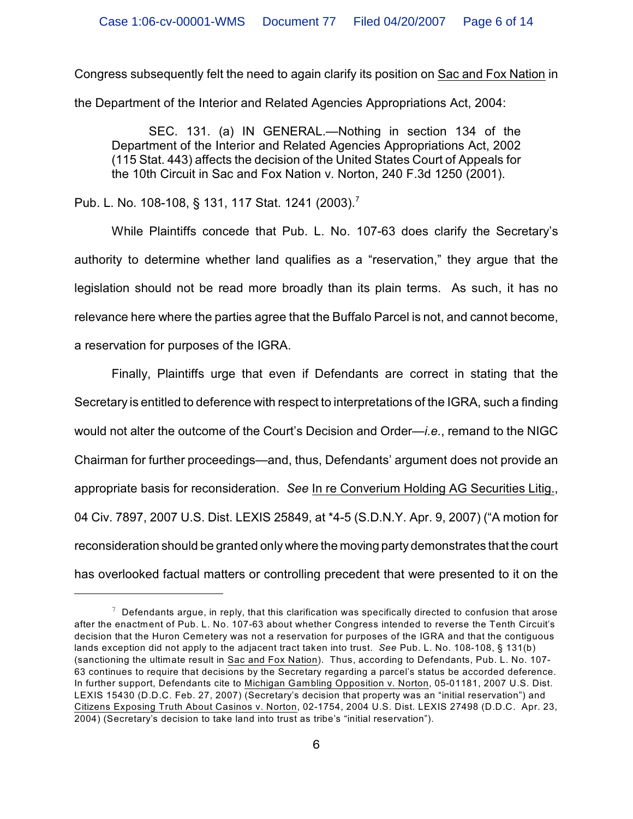Congress subsequently felt the need to again clarify its position on Sac and Fox Nation in the Department of the Interior and Related Agencies Appropriations Act, 2004:

SEC. 131. (a) IN GENERAL.—Nothing in section 134 of the Department of the Interior and Related Agencies Appropriations Act, 2002 (115 Stat. 443) affects the decision of the United States Court of Appeals for the 10th Circuit in Sac and Fox Nation v. Norton, 240 F.3d 1250 (2001).

Pub. L. No. 108-108, § 131, 117 Stat. 1241 (2003).<sup>7</sup>

While Plaintiffs concede that Pub. L. No. 107-63 does clarify the Secretary's authority to determine whether land qualifies as a "reservation," they argue that the legislation should not be read more broadly than its plain terms. As such, it has no relevance here where the parties agree that the Buffalo Parcel is not, and cannot become, a reservation for purposes of the IGRA.

Finally, Plaintiffs urge that even if Defendants are correct in stating that the Secretary is entitled to deference with respect to interpretations of the IGRA, such a finding would not alter the outcome of the Court's Decision and Order—*i.e.*, remand to the NIGC Chairman for further proceedings—and, thus, Defendants' argument does not provide an appropriate basis for reconsideration. *See* In re Converium Holding AG Securities Litig., 04 Civ. 7897, 2007 U.S. Dist. LEXIS 25849, at \*4-5 (S.D.N.Y. Apr. 9, 2007) ("A motion for reconsideration should be granted only where the moving party demonstrates that the court has overlooked factual matters or controlling precedent that were presented to it on the

 $\frac{7}{7}$  Defendants argue, in reply, that this clarification was specifically directed to confusion that arose after the enactment of Pub. L. No. 107-63 about whether Congress intended to reverse the Tenth Circuit's decision that the Huron Cemetery was not a reservation for purposes of the IGRA and that the contiguous lands exception did not apply to the adjacent tract taken into trust. *See* Pub. L. No. 108-108, § 131(b) (sanctioning the ultimate result in Sac and Fox Nation). Thus, according to Defendants, Pub. L. No. 107- 63 continues to require that decisions by the Secretary regarding a parcel's status be accorded deference. In further support, Defendants cite to Michigan Gambling Opposition v. Norton, 05-01181, 2007 U.S. Dist. LEXIS 15430 (D.D.C. Feb. 27, 2007) (Secretary's decision that property was an "initial reservation") and Citizens Exposing Truth About Casinos v. Norton, 02-1754, 2004 U.S. Dist. LEXIS 27498 (D.D.C. Apr. 23, 2004) (Secretary's decision to take land into trust as tribe's "initial reservation").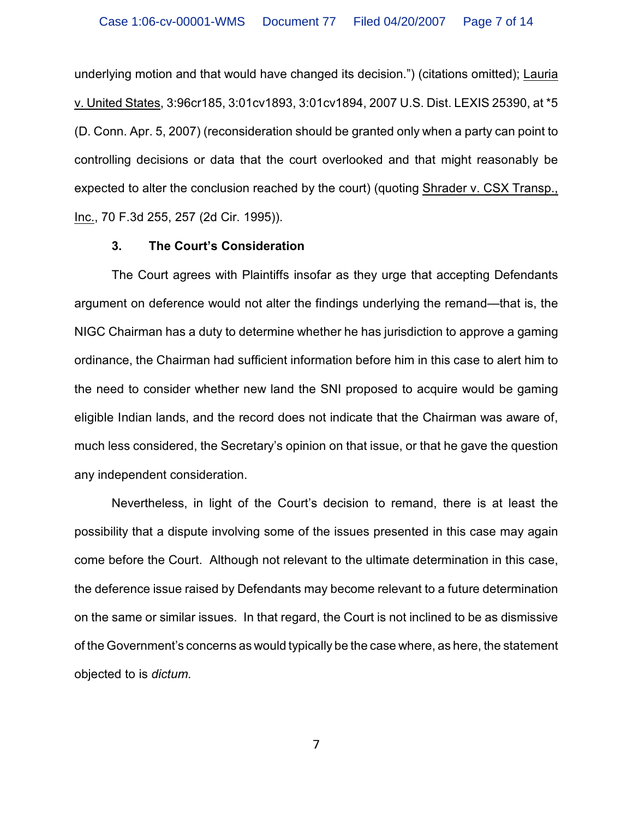underlying motion and that would have changed its decision.") (citations omitted); Lauria v. United States, 3:96cr185, 3:01cv1893, 3:01cv1894, 2007 U.S. Dist. LEXIS 25390, at \*5 (D. Conn. Apr. 5, 2007) (reconsideration should be granted only when a party can point to controlling decisions or data that the court overlooked and that might reasonably be expected to alter the conclusion reached by the court) (quoting Shrader v. CSX Transp., Inc., 70 F.3d 255, 257 (2d Cir. 1995)).

#### **3. The Court's Consideration**

The Court agrees with Plaintiffs insofar as they urge that accepting Defendants argument on deference would not alter the findings underlying the remand—that is, the NIGC Chairman has a duty to determine whether he has jurisdiction to approve a gaming ordinance, the Chairman had sufficient information before him in this case to alert him to the need to consider whether new land the SNI proposed to acquire would be gaming eligible Indian lands, and the record does not indicate that the Chairman was aware of, much less considered, the Secretary's opinion on that issue, or that he gave the question any independent consideration.

Nevertheless, in light of the Court's decision to remand, there is at least the possibility that a dispute involving some of the issues presented in this case may again come before the Court. Although not relevant to the ultimate determination in this case, the deference issue raised by Defendants may become relevant to a future determination on the same or similar issues. In that regard, the Court is not inclined to be as dismissive of the Government's concerns as would typically be the case where, as here, the statement objected to is *dictum*.

7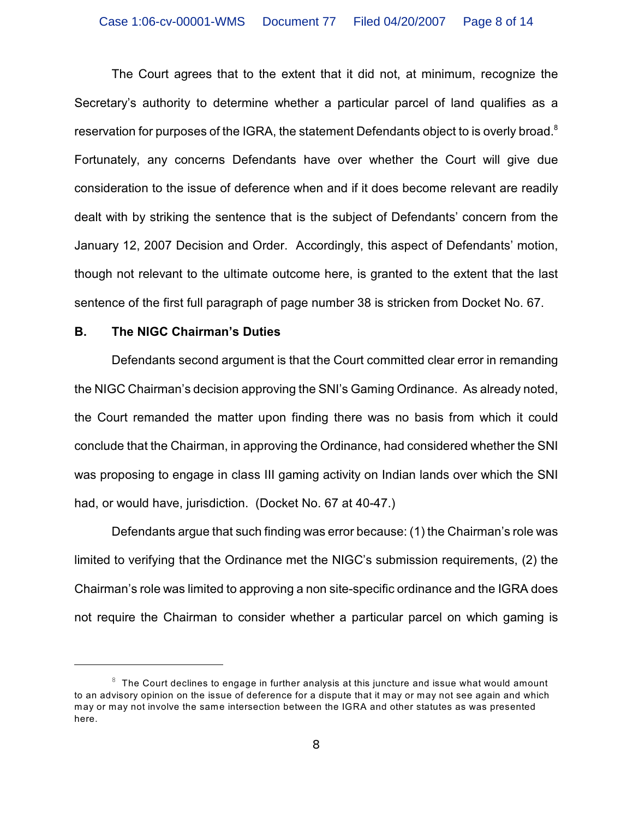The Court agrees that to the extent that it did not, at minimum, recognize the Secretary's authority to determine whether a particular parcel of land qualifies as a reservation for purposes of the IGRA, the statement Defendants object to is overly broad.<sup>8</sup> Fortunately, any concerns Defendants have over whether the Court will give due consideration to the issue of deference when and if it does become relevant are readily dealt with by striking the sentence that is the subject of Defendants' concern from the January 12, 2007 Decision and Order. Accordingly, this aspect of Defendants' motion, though not relevant to the ultimate outcome here, is granted to the extent that the last sentence of the first full paragraph of page number 38 is stricken from Docket No. 67.

### **B. The NIGC Chairman's Duties**

Defendants second argument is that the Court committed clear error in remanding the NIGC Chairman's decision approving the SNI's Gaming Ordinance. As already noted, the Court remanded the matter upon finding there was no basis from which it could conclude that the Chairman, in approving the Ordinance, had considered whether the SNI was proposing to engage in class III gaming activity on Indian lands over which the SNI had, or would have, jurisdiction. (Docket No. 67 at 40-47.)

Defendants argue that such finding was error because: (1) the Chairman's role was limited to verifying that the Ordinance met the NIGC's submission requirements, (2) the Chairman's role was limited to approving a non site-specific ordinance and the IGRA does not require the Chairman to consider whether a particular parcel on which gaming is

 $8\text{ }$  The Court declines to engage in further analysis at this juncture and issue what would amount to an advisory opinion on the issue of deference for a dispute that it may or may not see again and which may or may not involve the same intersection between the IGRA and other statutes as was presented here.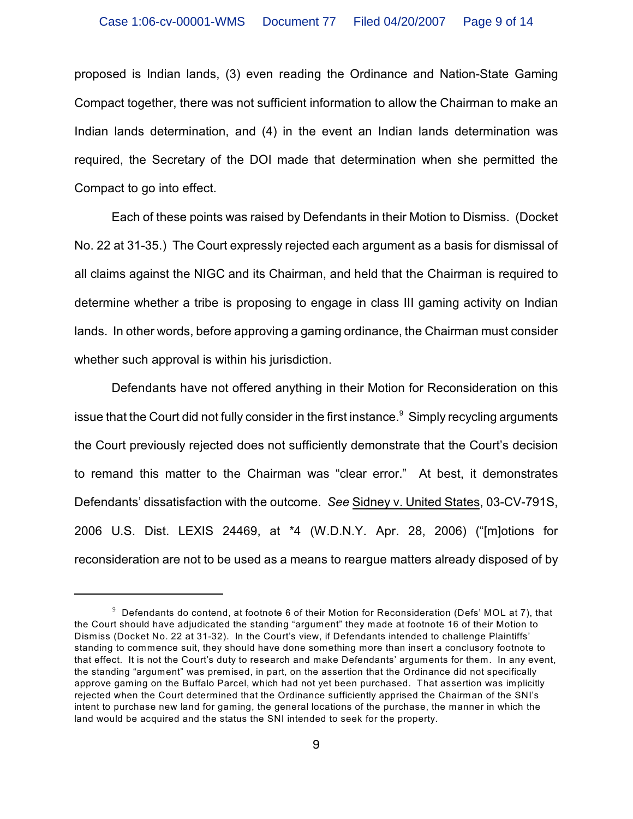proposed is Indian lands, (3) even reading the Ordinance and Nation-State Gaming Compact together, there was not sufficient information to allow the Chairman to make an Indian lands determination, and (4) in the event an Indian lands determination was required, the Secretary of the DOI made that determination when she permitted the Compact to go into effect.

Each of these points was raised by Defendants in their Motion to Dismiss. (Docket No. 22 at 31-35.) The Court expressly rejected each argument as a basis for dismissal of all claims against the NIGC and its Chairman, and held that the Chairman is required to determine whether a tribe is proposing to engage in class III gaming activity on Indian lands. In other words, before approving a gaming ordinance, the Chairman must consider whether such approval is within his jurisdiction.

Defendants have not offered anything in their Motion for Reconsideration on this issue that the Court did not fully consider in the first instance.  $\degree$  Simply recycling arguments the Court previously rejected does not sufficiently demonstrate that the Court's decision to remand this matter to the Chairman was "clear error." At best, it demonstrates Defendants' dissatisfaction with the outcome. *See* Sidney v. United States, 03-CV-791S, 2006 U.S. Dist. LEXIS 24469, at \*4 (W.D.N.Y. Apr. 28, 2006) ("[m]otions for reconsideration are not to be used as a means to reargue matters already disposed of by

 $9$  Defendants do contend, at footnote 6 of their Motion for Reconsideration (Defs' MOL at 7), that the Court should have adjudicated the standing "argument" they made at footnote 16 of their Motion to Dismiss (Docket No. 22 at 31-32). In the Court's view, if Defendants intended to challenge Plaintiffs' standing to commence suit, they should have done something more than insert a conclusory footnote to that effect. It is not the Court's duty to research and make Defendants' arguments for them. In any event, the standing "argument" was premised, in part, on the assertion that the Ordinance did not specifically approve gaming on the Buffalo Parcel, which had not yet been purchased. That assertion was implicitly rejected when the Court determined that the Ordinance sufficiently apprised the Chairman of the SNI's intent to purchase new land for gaming, the general locations of the purchase, the manner in which the land would be acquired and the status the SNI intended to seek for the property.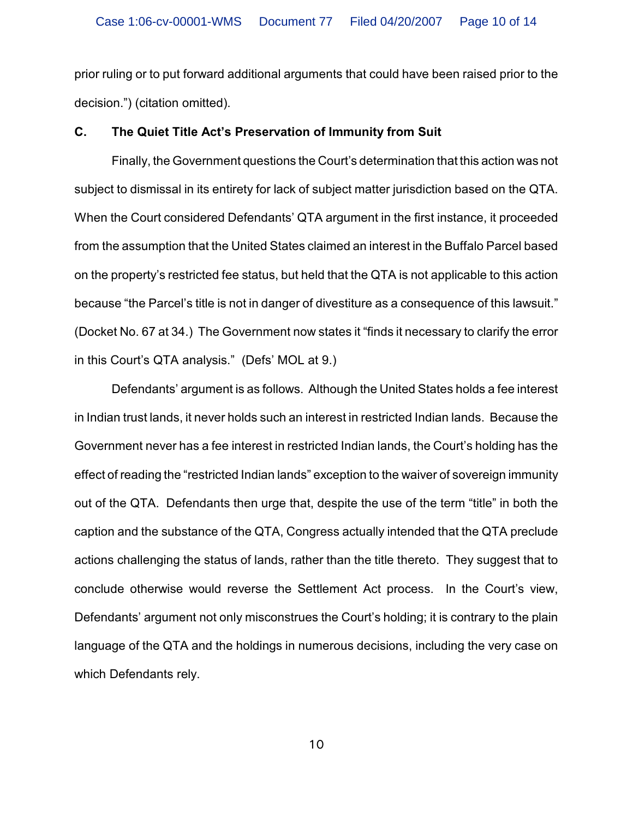prior ruling or to put forward additional arguments that could have been raised prior to the decision.") (citation omitted).

#### **C. The Quiet Title Act's Preservation of Immunity from Suit**

Finally, the Government questions the Court's determination that this action was not subject to dismissal in its entirety for lack of subject matter jurisdiction based on the QTA. When the Court considered Defendants' QTA argument in the first instance, it proceeded from the assumption that the United States claimed an interest in the Buffalo Parcel based on the property's restricted fee status, but held that the QTA is not applicable to this action because "the Parcel's title is not in danger of divestiture as a consequence of this lawsuit." (Docket No. 67 at 34.) The Government now states it "finds it necessary to clarify the error in this Court's QTA analysis." (Defs' MOL at 9.)

Defendants' argument is as follows. Although the United States holds a fee interest in Indian trust lands, it never holds such an interest in restricted Indian lands. Because the Government never has a fee interest in restricted Indian lands, the Court's holding has the effect of reading the "restricted Indian lands" exception to the waiver of sovereign immunity out of the QTA. Defendants then urge that, despite the use of the term "title" in both the caption and the substance of the QTA, Congress actually intended that the QTA preclude actions challenging the status of lands, rather than the title thereto. They suggest that to conclude otherwise would reverse the Settlement Act process. In the Court's view, Defendants' argument not only misconstrues the Court's holding; it is contrary to the plain language of the QTA and the holdings in numerous decisions, including the very case on which Defendants rely.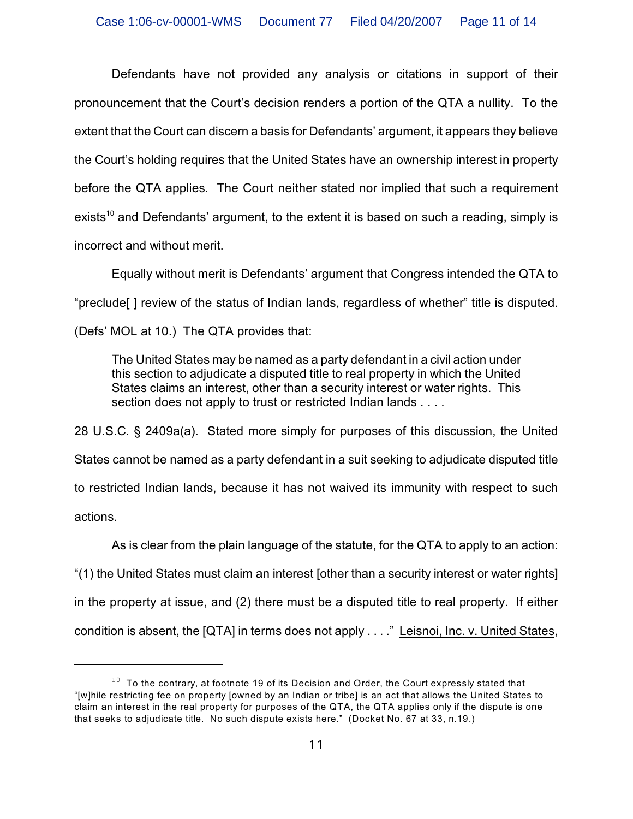Defendants have not provided any analysis or citations in support of their pronouncement that the Court's decision renders a portion of the QTA a nullity. To the extent that the Court can discern a basis for Defendants' argument, it appears they believe the Court's holding requires that the United States have an ownership interest in property before the QTA applies. The Court neither stated nor implied that such a requirement exists<sup>10</sup> and Defendants' argument, to the extent it is based on such a reading, simply is incorrect and without merit.

Equally without merit is Defendants' argument that Congress intended the QTA to "preclude[ ] review of the status of Indian lands, regardless of whether" title is disputed. (Defs' MOL at 10.) The QTA provides that:

The United States may be named as a party defendant in a civil action under this section to adjudicate a disputed title to real property in which the United States claims an interest, other than a security interest or water rights. This section does not apply to trust or restricted Indian lands . . . .

28 U.S.C. § 2409a(a). Stated more simply for purposes of this discussion, the United States cannot be named as a party defendant in a suit seeking to adjudicate disputed title to restricted Indian lands, because it has not waived its immunity with respect to such actions.

As is clear from the plain language of the statute, for the QTA to apply to an action: "(1) the United States must claim an interest [other than a security interest or water rights] in the property at issue, and (2) there must be a disputed title to real property. If either condition is absent, the [QTA] in terms does not apply . . . ." Leisnoi, Inc. v. United States,

 $10$  To the contrary, at footnote 19 of its Decision and Order, the Court expressly stated that "[w]hile restricting fee on property [owned by an Indian or tribe] is an act that allows the United States to claim an interest in the real property for purposes of the QTA, the QTA applies only if the dispute is one that seeks to adjudicate title. No such dispute exists here." (Docket No. 67 at 33, n.19.)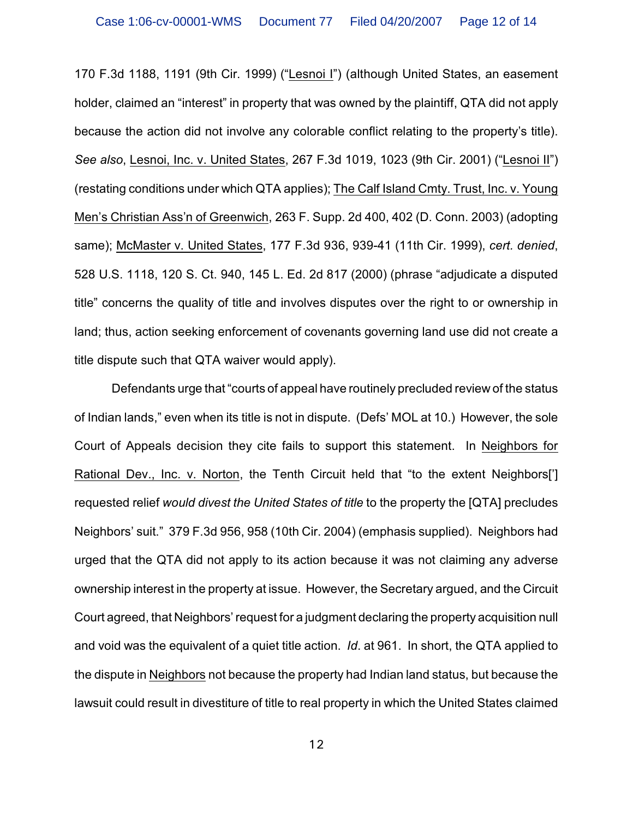170 F.3d 1188, 1191 (9th Cir. 1999) ("Lesnoi I") (although United States, an easement holder, claimed an "interest" in property that was owned by the plaintiff, QTA did not apply because the action did not involve any colorable conflict relating to the property's title). *See also*, Lesnoi, Inc. v. United States, 267 F.3d 1019, 1023 (9th Cir. 2001) ("Lesnoi II") (restating conditions under which QTA applies); The Calf Island Cmty. Trust, Inc. v. Young Men's Christian Ass'n of Greenwich, 263 F. Supp. 2d 400, 402 (D. Conn. 2003) (adopting same); McMaster v. United States, 177 F.3d 936, 939-41 (11th Cir. 1999), *cert. denied*, 528 U.S. 1118, 120 S. Ct. 940, 145 L. Ed. 2d 817 (2000) (phrase "adjudicate a disputed title" concerns the quality of title and involves disputes over the right to or ownership in land; thus, action seeking enforcement of covenants governing land use did not create a title dispute such that QTA waiver would apply).

Defendants urge that "courts of appeal have routinely precluded review of the status of Indian lands," even when its title is not in dispute. (Defs' MOL at 10.) However, the sole Court of Appeals decision they cite fails to support this statement. In Neighbors for Rational Dev., Inc. v. Norton, the Tenth Circuit held that "to the extent Neighbors['] requested relief *would divest the United States of title* to the property the [QTA] precludes Neighbors' suit." 379 F.3d 956, 958 (10th Cir. 2004) (emphasis supplied). Neighbors had urged that the QTA did not apply to its action because it was not claiming any adverse ownership interest in the property at issue. However, the Secretary argued, and the Circuit Court agreed, that Neighbors' request for a judgment declaring the property acquisition null and void was the equivalent of a quiet title action. *Id*. at 961. In short, the QTA applied to the dispute in Neighbors not because the property had Indian land status, but because the lawsuit could result in divestiture of title to real property in which the United States claimed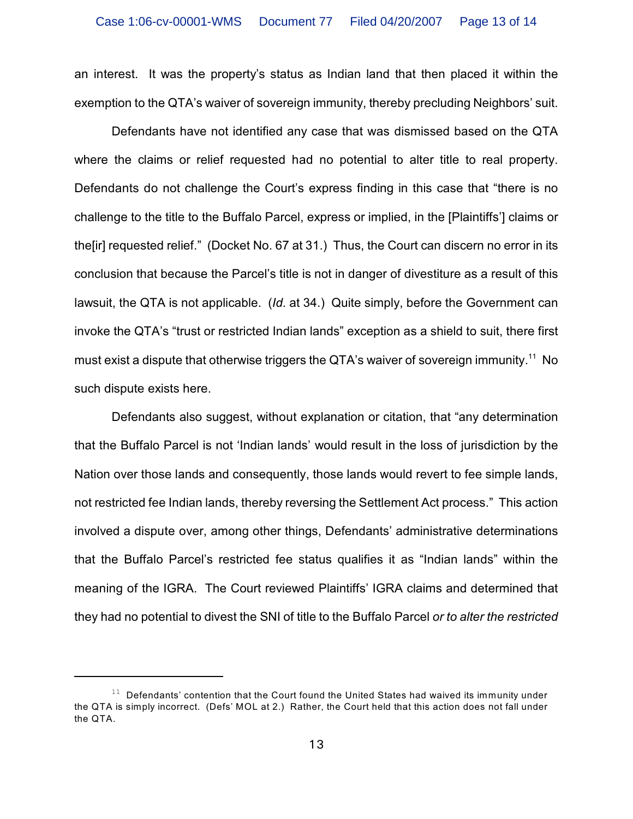an interest. It was the property's status as Indian land that then placed it within the exemption to the QTA's waiver of sovereign immunity, thereby precluding Neighbors' suit.

Defendants have not identified any case that was dismissed based on the QTA where the claims or relief requested had no potential to alter title to real property. Defendants do not challenge the Court's express finding in this case that "there is no challenge to the title to the Buffalo Parcel, express or implied, in the [Plaintiffs'] claims or the[ir] requested relief." (Docket No. 67 at 31.) Thus, the Court can discern no error in its conclusion that because the Parcel's title is not in danger of divestiture as a result of this lawsuit, the QTA is not applicable. (*Id*. at 34.) Quite simply, before the Government can invoke the QTA's "trust or restricted Indian lands" exception as a shield to suit, there first must exist a dispute that otherwise triggers the QTA's waiver of sovereign immunity.<sup>11</sup> No such dispute exists here.

Defendants also suggest, without explanation or citation, that "any determination that the Buffalo Parcel is not 'Indian lands' would result in the loss of jurisdiction by the Nation over those lands and consequently, those lands would revert to fee simple lands, not restricted fee Indian lands, thereby reversing the Settlement Act process." This action involved a dispute over, among other things, Defendants' administrative determinations that the Buffalo Parcel's restricted fee status qualifies it as "Indian lands" within the meaning of the IGRA. The Court reviewed Plaintiffs' IGRA claims and determined that they had no potential to divest the SNI of title to the Buffalo Parcel *or to alter the restricted*

 $11$  Defendants' contention that the Court found the United States had waived its immunity under the QTA is simply incorrect. (Defs' MOL at 2.) Rather, the Court held that this action does not fall under the QTA.